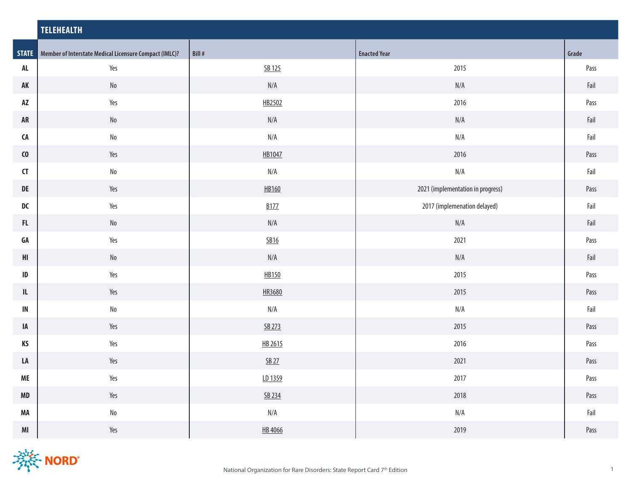|                                   | <b>TELEHEALTH</b>                                                   |                         |                                   |              |  |
|-----------------------------------|---------------------------------------------------------------------|-------------------------|-----------------------------------|--------------|--|
|                                   | <b>STATE</b> Member of Interstate Medical Licensure Compact (IMLC)? | Bill #                  | <b>Enacted Year</b>               | Grade        |  |
| AL                                | Yes                                                                 | SB 125                  | 2015                              | Pass         |  |
| AK                                | $\mathsf{No}$                                                       | N/A                     | $\mathsf{N}/\mathsf{A}$           | Fail         |  |
| AZ                                | Yes                                                                 | HB2502                  | 2016                              | Pass         |  |
| ${\sf AR}$                        | $\operatorname{\mathsf{No}}$                                        | N/A                     | N/A                               | Fail         |  |
| ${\sf CA}$                        | $\rm No$                                                            | $\mathsf{N}/\mathsf{A}$ | $\mathsf{N}/\mathsf{A}$           | Fail         |  |
| $\mathbf{C}$                      | Yes                                                                 | HB1047                  | 2016                              | Pass         |  |
| $\mathsf{C}\mathsf{T}$            | $\mathsf{No}$                                                       | N/A                     | N/A                               | Fail         |  |
| DE                                | Yes                                                                 | HB160                   | 2021 (implementation in progress) | Pass         |  |
| ${\sf DC}$                        | Yes                                                                 | <b>B177</b>             | 2017 (implemenation delayed)      | Fail         |  |
| ${\sf FL}$                        | $\rm No$                                                            | N/A                     | $\mathsf{N}/\mathsf{A}$           | Fail         |  |
| GA                                | Yes                                                                 | <u>SB16</u>             | 2021                              | Pass         |  |
| $\ensuremath{\mathsf{HI}}\xspace$ | $\rm No$                                                            | N/A                     | $\mathsf{N}/\mathsf{A}$           | ${\sf fail}$ |  |
| $\sf ID$                          | Yes                                                                 | HB150                   | 2015                              | Pass         |  |
| $\ensuremath{\mathsf{IL}}\xspace$ | Yes                                                                 | HR3680                  | 2015                              | Pass         |  |
| $\mathsf{IN}$                     | $\mathsf{No}$                                                       | N/A                     | N/A                               | Fail         |  |
| IA                                | Yes                                                                 | SB 273                  | 2015                              | Pass         |  |
| KS                                | Yes                                                                 | HB 2615                 | 2016                              | Pass         |  |
| LA                                | Yes                                                                 | <u>SB 27</u>            | 2021                              | Pass         |  |
| <b>ME</b>                         | Yes                                                                 | LD 1359                 | 2017                              | Pass         |  |
| MD                                | Yes                                                                 | SB 234                  | 2018                              | Pass         |  |
| MA                                | $\rm No$                                                            | $\mathsf{N}/\mathsf{A}$ | N/A                               | Fail         |  |
| $\mathsf{MI}$                     | Yes                                                                 | HB 4066                 | 2019                              | Pass         |  |

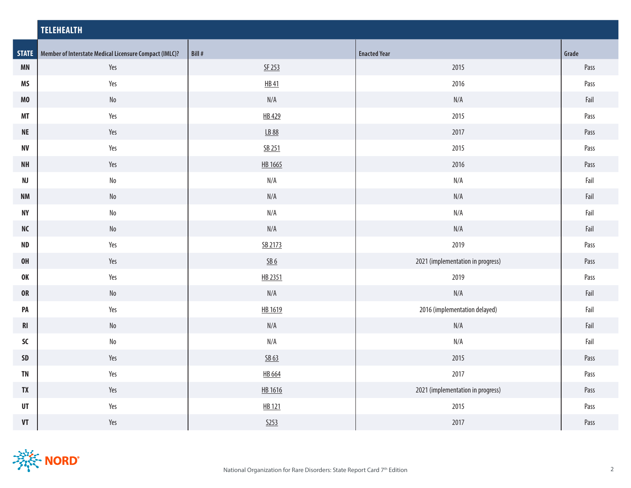|                                    | <b>TELEHEALTH</b>                                                   |                               |                                   |       |  |
|------------------------------------|---------------------------------------------------------------------|-------------------------------|-----------------------------------|-------|--|
|                                    | <b>STATE</b> Member of Interstate Medical Licensure Compact (IMLC)? | Bill #                        | <b>Enacted Year</b>               | Grade |  |
| <b>MN</b>                          | Yes                                                                 | SF 253                        | 2015                              | Pass  |  |
| <b>MS</b>                          | Yes                                                                 | <b>HB41</b>                   | 2016                              | Pass  |  |
| MO                                 | $\operatorname{\mathsf{No}}$                                        | N/A                           | N/A                               | Fail  |  |
| <b>MT</b>                          | Yes                                                                 | HB 429                        | 2015                              | Pass  |  |
| $\sf NE$                           | Yes                                                                 | <u>LB 88</u>                  | 2017                              | Pass  |  |
| <b>NV</b>                          | Yes                                                                 | SB 251                        | 2015                              | Pass  |  |
| <b>NH</b>                          | Yes                                                                 | HB 1665                       | 2016                              | Pass  |  |
| NJ                                 | $\rm No$                                                            | N/A                           | N/A                               | Fail  |  |
| $\mathsf{N}\mathsf{M}$             | No                                                                  | N/A                           | N/A                               | Fail  |  |
| $\ensuremath{\mathsf{NY}}$         | $\rm No$                                                            | N/A                           | N/A                               | Fail  |  |
| $\sf NC$                           | $\operatorname{\mathsf{No}}$                                        | N/A                           | N/A                               | Fail  |  |
| <b>ND</b>                          | Yes                                                                 | SB 2173                       | 2019                              | Pass  |  |
| <b>OH</b>                          | Yes                                                                 | $\underline{\mathsf{SB6}}$    | 2021 (implementation in progress) | Pass  |  |
| <b>OK</b>                          | Yes                                                                 | HB 2351                       | 2019                              | Pass  |  |
| <b>OR</b>                          | $\rm No$                                                            | N/A                           | N/A                               | Fail  |  |
| PA                                 | Yes                                                                 | HB 1619                       | 2016 (implementation delayed)     | Fail  |  |
| R <sub>l</sub>                     | $\rm No$                                                            | N/A                           | N/A                               | Fail  |  |
| SC                                 | $\operatorname{\mathsf{No}}$                                        | $\mathsf{N}/\mathsf{A}$       | N/A                               | Fail  |  |
| SD                                 | Yes                                                                 | $\underline{\mathsf{SB}}\,63$ | 2015                              | Pass  |  |
| <b>TN</b>                          | Yes                                                                 | HB 664                        | 2017                              | Pass  |  |
| <b>TX</b>                          | Yes                                                                 | HB 1616                       | 2021 (implementation in progress) | Pass  |  |
| UT                                 | Yes                                                                 | HB 121                        | 2015                              | Pass  |  |
| $\pmb{\mathsf{V}}\pmb{\mathsf{T}}$ | Yes                                                                 | 5253                          | 2017                              | Pass  |  |